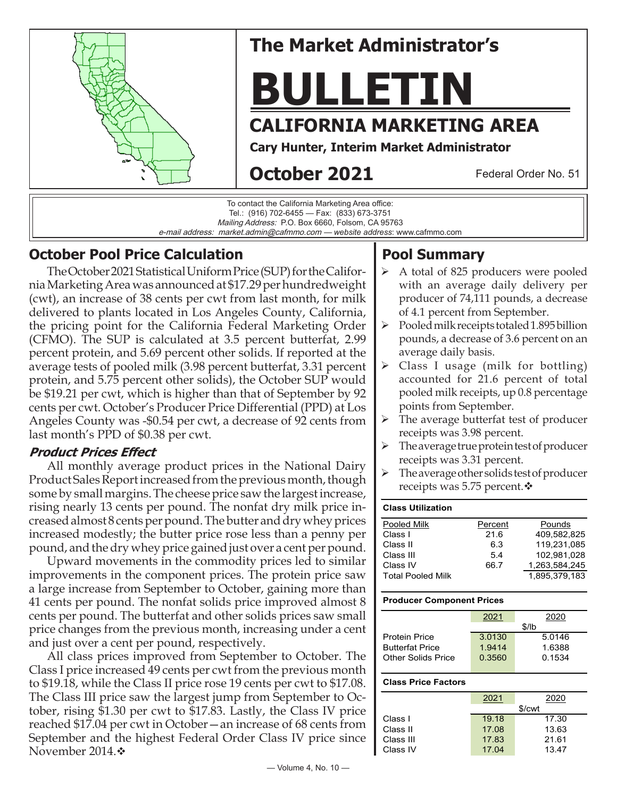

# **The Market Administrator's**

# **BULLETIN**

# **CALIFORNIA MARKETING AREA**

**Cary Hunter, Interim Market Administrator**

# **October 2021**

Federal Order No. 51

To contact the California Marketing Area office: Tel.: (916) 702-6455 — Fax: (833) 673-3751 Mailing Address: P.O. Box 6660, Folsom, CA 95763 e-mail address: market.admin@cafmmo.com — *website address*: www.cafmmo.com

# **October Pool Price Calculation**

The October 2021 Statistical Uniform Price (SUP) for the California Marketing Area was announced at \$17.29 per hundredweight (cwt), an increase of 38 cents per cwt from last month, for milk delivered to plants located in Los Angeles County, California, the pricing point for the California Federal Marketing Order (CFMO). The SUP is calculated at 3.5 percent butterfat, 2.99 percent protein, and 5.69 percent other solids. If reported at the average tests of pooled milk (3.98 percent butterfat, 3.31 percent protein, and 5.75 percent other solids), the October SUP would be \$19.21 per cwt, which is higher than that of September by 92 cents per cwt. October's Producer Price Differential (PPD) at Los Angeles County was -\$0.54 per cwt, a decrease of 92 cents from last month's PPD of \$0.38 per cwt.

## **Product Prices Effect**

All monthly average product prices in the National Dairy Product Sales Report increased from the previous month, though some by small margins. The cheese price saw the largest increase, rising nearly 13 cents per pound. The nonfat dry milk price increased almost 8 cents per pound. The butter and dry whey prices increased modestly; the butter price rose less than a penny per pound, and the dry whey price gained just over a cent per pound.

Upward movements in the commodity prices led to similar improvements in the component prices. The protein price saw a large increase from September to October, gaining more than 41 cents per pound. The nonfat solids price improved almost 8 cents per pound. The butterfat and other solids prices saw small price changes from the previous month, increasing under a cent and just over a cent per pound, respectively.

All class prices improved from September to October. The Class I price increased 49 cents per cwt from the previous month to \$19.18, while the Class II price rose 19 cents per cwt to \$17.08. The Class III price saw the largest jump from September to October, rising \$1.30 per cwt to \$17.83. Lastly, the Class IV price reached \$17.04 per cwt in October—an increase of 68 cents from September and the highest Federal Order Class IV price since November 2014. $\div$ 

# **Pool Summary**

- A total of 825 producers were pooled with an average daily delivery per producer of 74,111 pounds, a decrease of 4.1 percent from September.
- $\triangleright$  Pooled milk receipts totaled 1.895 billion pounds, a decrease of 3.6 percent on an average daily basis.
- $\triangleright$  Class I usage (milk for bottling) accounted for 21.6 percent of total pooled milk receipts, up 0.8 percentage points from September.
- $\triangleright$  The average butterfat test of producer receipts was 3.98 percent.
- $\triangleright$  The average true protein test of producer receipts was 3.31 percent.
- $\triangleright$  The average other solids test of producer receipts was 5.75 percent. $\mathbf{\hat{*}}$

#### **Class Utilization** Pooled Milk **Percent** Pounds Class I 21.6 409,582,825 Class II 6.3 119,231,085 Class III 5.4 102,981,028 Class IV 66.7 1,263,584,245 Total Pooled Milk 1,895,379,183

#### **Producer Component Prices**

|                        | 2021   | 2020   |  |  |
|------------------------|--------|--------|--|--|
|                        | \$/lb  |        |  |  |
| <b>Protein Price</b>   | 3.0130 | 5.0146 |  |  |
| <b>Butterfat Price</b> | 1.9414 | 1.6388 |  |  |
| Other Solids Price     | 0.3560 | 0.1534 |  |  |
|                        |        |        |  |  |

#### **Class Price Factors**

|           | 2021  | 2020   |
|-----------|-------|--------|
|           |       | \$/cwt |
| Class I   | 19.18 | 17.30  |
| Class II  | 17.08 | 13.63  |
| Class III | 17.83 | 21.61  |
| Class IV  | 17.04 | 13.47  |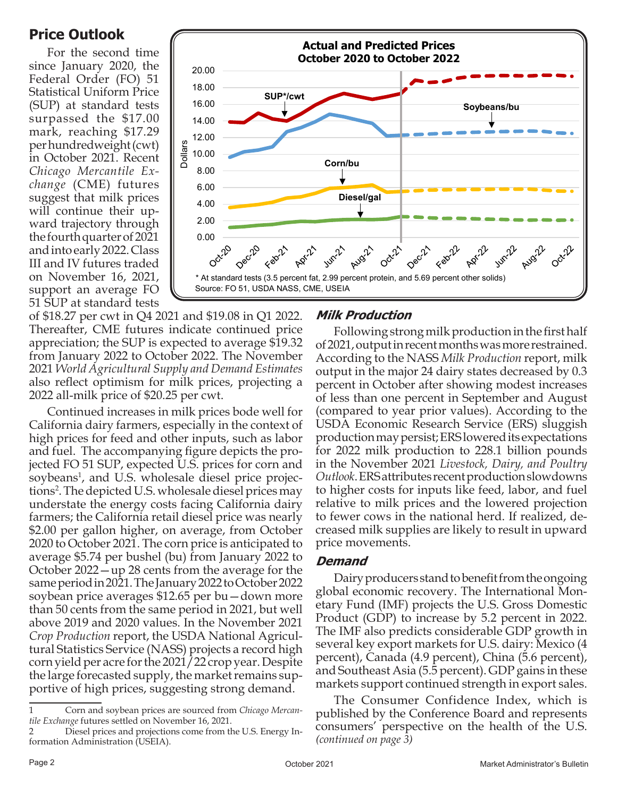## **Price Outlook**

For the second time since January 2020, the Federal Order (FO) 51 Statistical Uniform Price (SUP) at standard tests surpassed the \$17.00 mark, reaching \$17.29 per hundredweight (cwt) in October 2021. Recent *Chicago Mercantile Exchange* (CME) futures suggest that milk prices will continue their upward trajectory through the fourth quarter of 2021 and into early 2022. Class III and IV futures traded on November 16, 2021, support an average FO 51 SUP at standard tests



of \$18.27 per cwt in Q4 2021 and \$19.08 in Q1 2022. Thereafter, CME futures indicate continued price appreciation; the SUP is expected to average \$19.32 from January 2022 to October 2022. The November 2021 *World Agricultural Supply and Demand Estimates*  also reflect optimism for milk prices, projecting a 2022 all-milk price of \$20.25 per cwt.

Continued increases in milk prices bode well for California dairy farmers, especially in the context of high prices for feed and other inputs, such as labor and fuel. The accompanying figure depicts the projected FO 51 SUP, expected U.S. prices for corn and soybeans<sup>1</sup>, and U.S. wholesale diesel price projections2 . The depicted U.S. wholesale diesel prices may understate the energy costs facing California dairy farmers; the California retail diesel price was nearly \$2.00 per gallon higher, on average, from October 2020 to October 2021. The corn price is anticipated to average \$5.74 per bushel (bu) from January 2022 to October 2022—up 28 cents from the average for the same period in 2021. The January 2022 to October 2022 soybean price averages \$12.65 per bu—down more than 50 cents from the same period in 2021, but well above 2019 and 2020 values. In the November 2021 *Crop Production* report, the USDA National Agricultural Statistics Service (NASS) projects a record high corn yield per acre for the 2021/22 crop year. Despite the large forecasted supply, the market remains supportive of high prices, suggesting strong demand.

#### **Milk Production**

Following strong milk production in the first half of 2021, output in recent months was more restrained. According to the NASS *Milk Production* report, milk output in the major 24 dairy states decreased by 0.3 percent in October after showing modest increases of less than one percent in September and August (compared to year prior values). According to the USDA Economic Research Service (ERS) sluggish production may persist; ERS lowered its expectations for 2022 milk production to 228.1 billion pounds in the November 2021 *Livestock, Dairy, and Poultry Outlook*. ERS attributes recent production slowdowns to higher costs for inputs like feed, labor, and fuel relative to milk prices and the lowered projection to fewer cows in the national herd. If realized, decreased milk supplies are likely to result in upward price movements.

#### **Demand**

Dairy producers stand to benefit from the ongoing global economic recovery. The International Monetary Fund (IMF) projects the U.S. Gross Domestic Product (GDP) to increase by 5.2 percent in 2022. The IMF also predicts considerable GDP growth in several key export markets for U.S. dairy: Mexico (4 percent), Canada (4.9 percent), China (5.6 percent), and Southeast Asia (5.5 percent). GDP gains in these markets support continued strength in export sales.

The Consumer Confidence Index, which is published by the Conference Board and represents consumers' perspective on the health of the U.S. *(continued on page 3)*

<sup>1</sup> Corn and soybean prices are sourced from *Chicago Mercantile Exchange* futures settled on November 16, 2021.

<sup>2</sup> Diesel prices and projections come from the U.S. Energy Information Administration (USEIA).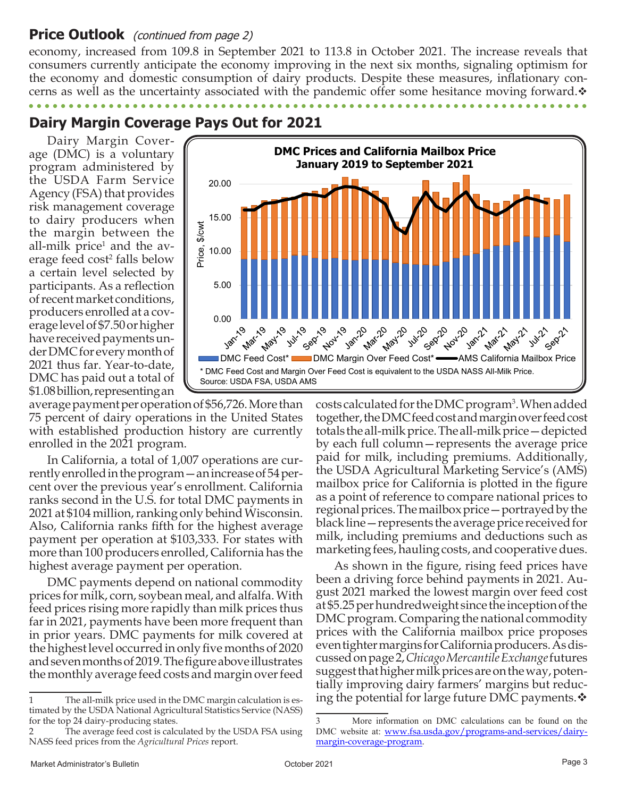### **Price Outlook** (continued from page 2)

economy, increased from 109.8 in September 2021 to 113.8 in October 2021. The increase reveals that consumers currently anticipate the economy improving in the next six months, signaling optimism for the economy and domestic consumption of dairy products. Despite these measures, inflationary concerns as well as the uncertainty associated with the pandemic offer some hesitance moving forward. $\mathbf{\hat{v}}$ 

**Dairy Margin Coverage Pays Out for 2021**

Dairy Margin Coverage (DMC) is a voluntary program administered by the USDA Farm Service Agency (FSA) that provides risk management coverage to dairy producers when the margin between the all-milk price<sup>1</sup> and the average feed cost<sup>2</sup> falls below a certain level selected by participants. As a reflection of recent market conditions, producers enrolled at a coverage level of \$7.50 or higher have received payments under DMC for every month of 2021 thus far. Year-to-date, DMC has paid out a total of \$1.08 billion, representing an



average payment per operation of \$56,726. More than 75 percent of dairy operations in the United States with established production history are currently enrolled in the 2021 program.

In California, a total of 1,007 operations are currently enrolled in the program—an increase of 54 percent over the previous year's enrollment. California ranks second in the U.S. for total DMC payments in 2021 at \$104 million, ranking only behind Wisconsin. Also, California ranks fifth for the highest average payment per operation at \$103,333. For states with more than 100 producers enrolled, California has the highest average payment per operation.

DMC payments depend on national commodity prices for milk, corn, soybean meal, and alfalfa. With feed prices rising more rapidly than milk prices thus far in 2021, payments have been more frequent than in prior years. DMC payments for milk covered at the highest level occurred in only five months of 2020 and seven months of 2019. The figure above illustrates the monthly average feed costs and margin over feed

costs calculated for the DMC program<sup>3</sup>. When added together, the DMC feed cost and margin over feed cost totals the all-milk price. The all-milk price—depicted by each full column—represents the average price paid for milk, including premiums. Additionally, the USDA Agricultural Marketing Service's (AMS) mailbox price for California is plotted in the figure as a point of reference to compare national prices to regional prices. The mailbox price—portrayed by the black line—represents the average price received for milk, including premiums and deductions such as marketing fees, hauling costs, and cooperative dues.

As shown in the figure, rising feed prices have been a driving force behind payments in 2021. August 2021 marked the lowest margin over feed cost at \$5.25 per hundredweight since the inception of the DMC program. Comparing the national commodity prices with the California mailbox price proposes even tighter margins for California producers. As discussed on page 2, *Chicago Mercantile Exchange* futures suggest that higher milk prices are on the way, potentially improving dairy farmers' margins but reducing the potential for large future DMC payments. $\mathbf{\hat{*}}$ 

<sup>1</sup> The all-milk price used in the DMC margin calculation is estimated by the USDA National Agricultural Statistics Service (NASS) for the top 24 dairy-producing states.

<sup>2</sup> The average feed cost is calculated by the USDA FSA using NASS feed prices from the *Agricultural Prices* report.

<sup>3</sup> More information on DMC calculations can be found on the DMC website at: www.fsa.usda.gov/programs-and-services/dairymargin-coverage-program.